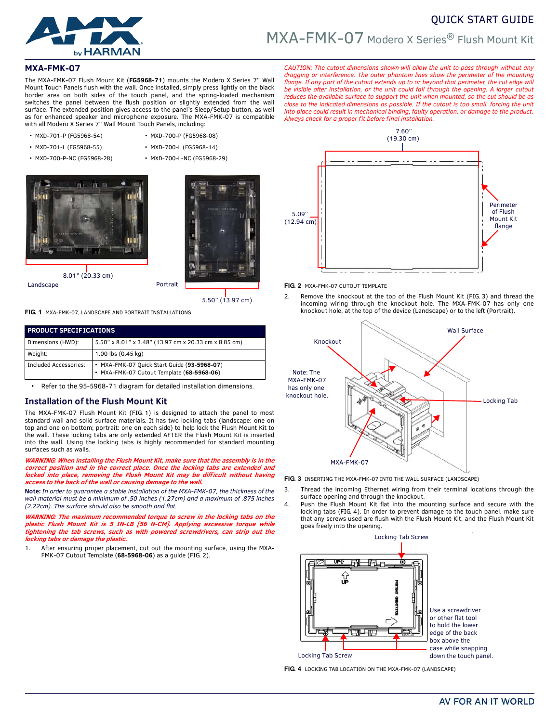

# QUICK START GUIDE MXA-FMK-07 Modero X Series® Flush Mount Kit

# **MXA-FMK-07**

The MXA-FMK-07 Flush Mount Kit (**FG5968-71**) mounts the Modero X Series 7" Wall Mount Touch Panels flush with the wall. Once installed, simply press lightly on the black border area on both sides of the touch panel, and the spring-loaded mechanism switches the panel between the flush position or slightly extended from the wall surface. The extended position gives access to the panel's Sleep/Setup button, as well as for enhanced speaker and microphone exposure. The MXA-FMK-07 is compatible with all Modero X Series 7" Wall Mount Touch Panels, including:

- MXD-701-P (FG5968-54) MXD-700-P (FG5968-08)
	-
- MXD-700-P-NC (FG5968-28) MXD-700-L-NC (FG5968-29)
- MXD-701-L (FG5968-55) MXD-700-L (FG5968-14)
- 8.01" (20.33 cm)



Landscape **Portrait** 

5.50" (13.97 cm)

**FIG. 1** MXA-FMK-07, LANDSCAPE AND PORTRAIT INSTALLATIONS

| <b>PRODUCT SPECIFICATIONS</b> |                                                                                          |
|-------------------------------|------------------------------------------------------------------------------------------|
| Dimensions (HWD):             | 5.50" x 8.01" x 3.48" (13.97 cm x 20.33 cm x 8.85 cm)                                    |
| Weight:                       | 1.00 lbs (0.45 kg)                                                                       |
| <b>Included Accessories:</b>  | • MXA-FMK-07 Quick Start Guide (93-5968-07)<br>• MXA-FMK-07 Cutout Template (68-5968-06) |

Refer to the 95-5968-71 diagram for detailed installation dimensions.

## **Installation of the Flush Mount Kit**

The MXA-FMK-07 Flush Mount Kit (FIG. 1) is designed to attach the panel to most standard wall and solid surface materials. It has two locking tabs (landscape: one on top and one on bottom; portrait: one on each side) to help lock the Flush Mount Kit to the wall. These locking tabs are only extended AFTER the Flush Mount Kit is inserted into the wall. Using the locking tabs is highly recommended for standard mounting surfaces such as walls.

**WARNING: When installing the Flush Mount Kit, make sure that the assembly is in the correct position and in the correct place. Once the locking tabs are extended and** locked into place, removing the Flush Mount Kit may be difficult without having **access to the back of the wall or causing damage to the wall.** 

**Note:** *In order to guarantee a stable installation of the MXA-FMK-07, the thickness of the wall material must be a minimum of .50 inches (1.27cm) and a maximum of .875 inches (2.22cm). The surface should also be smooth and flat.*

**WARNING: The maximum recommended torque to screw in the locking tabs on the plastic Flush Mount Kit is 5 IN-LB [56 N-CM]. Applying excessive torque while tightening the tab screws, such as with powered screwdrivers, can strip out the locking tabs or damage the plastic.**

1. After ensuring proper placement, cut out the mounting surface, using the MXA-FMK-07 Cutout Template (**68-5968-06**) as a guide [\(FIG. 2](#page-0-0)).

*CAUTION: The cutout dimensions shown will allow the unit to pass through without any dragging or interference. The outer phantom lines show the perimeter of the mounting* flange. If any part of the cutout extends up to or beyond that perimeter, the cut edge will *be visible after installation, or the unit could fall through the opening. A larger cutout reduces the available surface to support the unit when mounted, so the cut should be as close to the indicated dimensions as possible. If the cutout is too small, forcing the unit into place could result in mechanical binding, faulty operation, or damage to the product. Always check for a proper fit before final installation.* 



<span id="page-0-0"></span>**FIG. 2** MXA-FMK-07 CUTOUT TEMPLATE

2. Remove the knockout at the top of the Flush Mount Kit (FIG. 3) and thread the incoming wiring through the knockout hole. The MXA-FMK-07 has only one knockout hole, at the top of the device (Landscape) or to the left (Portrait).



**FIG. 3** INSERTING THE MXA-FMK-07 INTO THE WALL SURFACE (LANDSCAPE)

- Thread the incoming Ethernet wiring from their terminal locations through the surface opening and through the knockout.
- 4. Push the Flush Mount Kit flat into the mounting surface and secure with the locking tabs (FIG. 4). In order to prevent damage to the touch panel, make sure that any screws used are flush with the Flush Mount Kit, and the Flush Mount Kit goes freely into the opening.



**FIG. 4** LOCKING TAB LOCATION ON THE MXA-FMK-07 (LANDSCAPE)